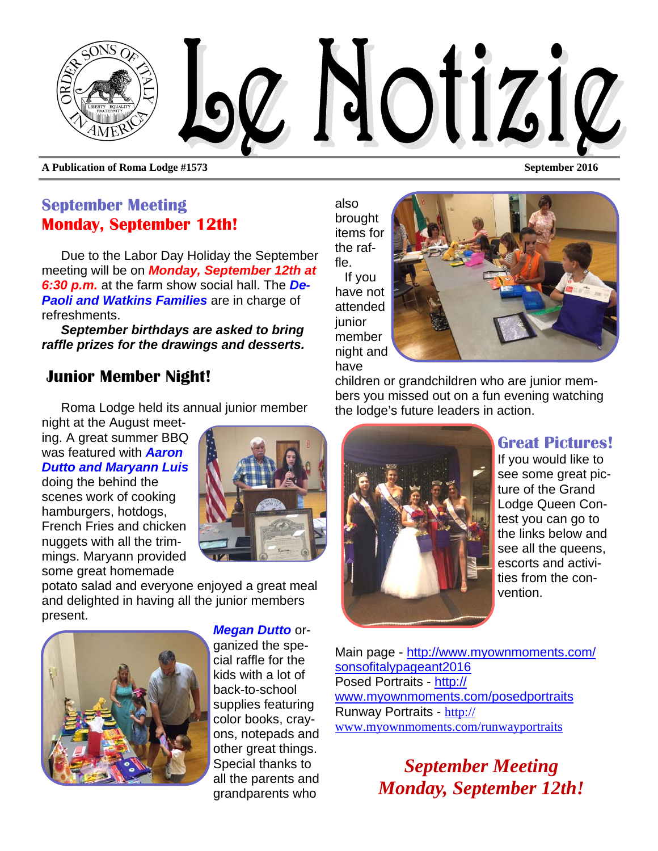

**A Publication of Roma Lodge #1573 September 2016** 

#### **September Meeting Monday, September 12th!**

Due to the Labor Day Holiday the September meeting will be on *Monday, September 12th at 6:30 p.m.* at the farm show social hall. The *De-Paoli and Watkins Families* are in charge of refreshments.

*September birthdays are asked to bring raffle prizes for the drawings and desserts.* 

#### **Junior Member Night!**

Roma Lodge held its annual junior member

night at the August meeting. A great summer BBQ was featured with *Aaron Dutto and Maryann Luis*

doing the behind the scenes work of cooking hamburgers, hotdogs, French Fries and chicken nuggets with all the trimmings. Maryann provided some great homemade



potato salad and everyone enjoyed a great meal and delighted in having all the junior members present.



*Megan Dutto* or-

ganized the special raffle for the kids with a lot of back-to-school supplies featuring color books, crayons, notepads and other great things. Special thanks to all the parents and grandparents who

also brought items for the raffle.

If you have not attended iunior member night and have



children or grandchildren who are junior members you missed out on a fun evening watching the lodge's future leaders in action.



**Great Pictures!** 

If you would like to see some great picture of the Grand Lodge Queen Contest you can go to the links below and see all the queens, escorts and activities from the convention.

Main page - http://www.myownmoments.com/ sonsofitalypageant2016 Posed Portraits - http:// www.myownmoments.com/posedportraits Runway Portraits - http:// www.myownmoments.com/runwayportraits

> *September Meeting Monday, September 12th!*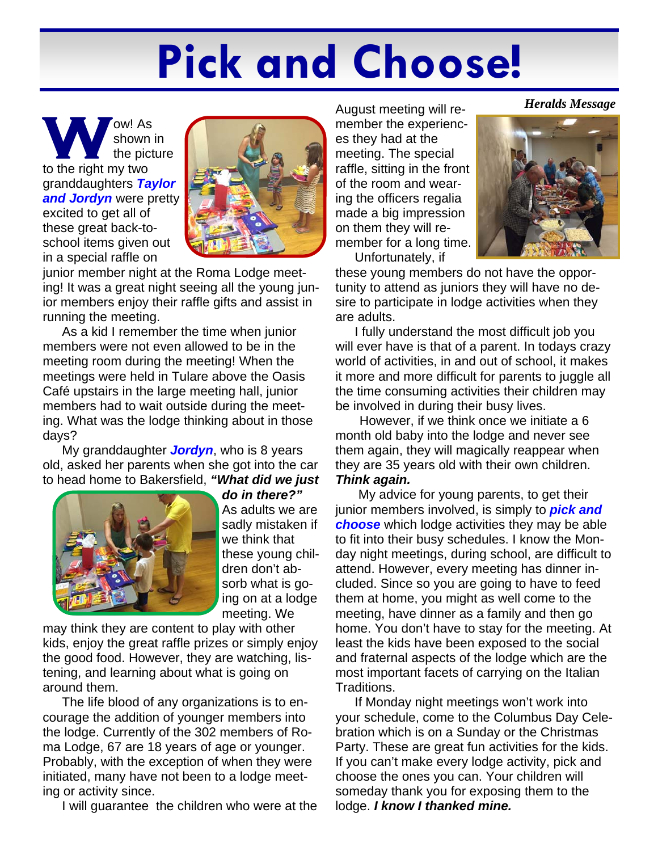# **Pick and Choose!**

**W** Shown is<br>the pict<br>to the right my two shown in the picture granddaughters *Taylor*  **and Jordyn** were pretty excited to get all of these great back-toschool items given out in a special raffle on



junior member night at the Roma Lodge meeting! It was a great night seeing all the young junior members enjoy their raffle gifts and assist in running the meeting.

As a kid I remember the time when junior members were not even allowed to be in the meeting room during the meeting! When the meetings were held in Tulare above the Oasis Café upstairs in the large meeting hall, junior members had to wait outside during the meeting. What was the lodge thinking about in those days?

My granddaughter *Jordyn*, who is 8 years old, asked her parents when she got into the car to head home to Bakersfield, *"What did we just* 



*do in there?"* As adults we are sadly mistaken if we think that these young children don't absorb what is going on at a lodge meeting. We

may think they are content to play with other kids, enjoy the great raffle prizes or simply enjoy the good food. However, they are watching, listening, and learning about what is going on around them.

The life blood of any organizations is to encourage the addition of younger members into the lodge. Currently of the 302 members of Roma Lodge, 67 are 18 years of age or younger. Probably, with the exception of when they were initiated, many have not been to a lodge meeting or activity since.

I will guarantee the children who were at the

August meeting will remember the experiences they had at the meeting. The special raffle, sitting in the front of the room and wearing the officers regalia made a big impression on them they will remember for a long time. Unfortunately, if



these young members do not have the opportunity to attend as juniors they will have no desire to participate in lodge activities when they are adults.

I fully understand the most difficult job you will ever have is that of a parent. In todays crazy world of activities, in and out of school, it makes it more and more difficult for parents to juggle all the time consuming activities their children may be involved in during their busy lives.

However, if we think once we initiate a 6 month old baby into the lodge and never see them again, they will magically reappear when they are 35 years old with their own children. *Think again.* 

My advice for young parents, to get their junior members involved, is simply to *pick and choose* which lodge activities they may be able to fit into their busy schedules. I know the Monday night meetings, during school, are difficult to attend. However, every meeting has dinner included. Since so you are going to have to feed them at home, you might as well come to the meeting, have dinner as a family and then go home. You don't have to stay for the meeting. At least the kids have been exposed to the social and fraternal aspects of the lodge which are the most important facets of carrying on the Italian Traditions.

If Monday night meetings won't work into your schedule, come to the Columbus Day Celebration which is on a Sunday or the Christmas Party. These are great fun activities for the kids. If you can't make every lodge activity, pick and choose the ones you can. Your children will someday thank you for exposing them to the lodge. *I know I thanked mine.*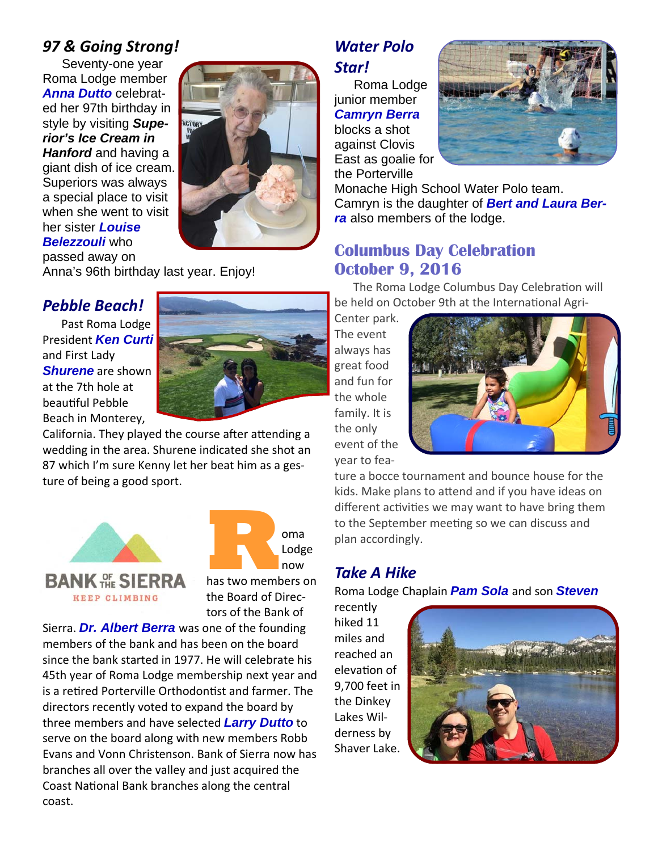#### *97 & Going Strong!*

Seventy-one year Roma Lodge member *Anna Dutto* celebrated her 97th birthday in style by visiting *Superior's Ice Cream in Hanford* and having a giant dish of ice cream. Superiors was always a special place to visit when she went to visit her sister *Louise Belezzouli* who passed away on



Anna's 96th birthday last year. Enjoy!

#### *Pebble Beach!*

Past Roma Lodge President *Ken Curti*  and First Lady *Shurene* are shown at the 7th hole at beautiful Pebble Beach in Monterey,



California. They played the course after attending a wedding in the area. Shurene indicated she shot an 87 which I'm sure Kenny let her beat him as a ges‐ ture of being a good sport.





Sierra. *Dr. Albert Berra* was one of the founding members of the bank and has been on the board since the bank started in 1977. He will celebrate his 45th year of Roma Lodge membership next year and is a retired Porterville Orthodontist and farmer. The directors recently voted to expand the board by three members and have selected *Larry Dutto* to serve on the board along with new members Robb Evans and Vonn Christenson. Bank of Sierra now has branches all over the valley and just acquired the Coast National Bank branches along the central coast.

## *Water Polo*

#### *Star!*

Roma Lodge junior member *Camryn Berra*  blocks a shot against Clovis East as goalie for the Porterville



Monache High School Water Polo team. Camryn is the daughter of *Bert and Laura Berra* also members of the lodge.

#### **Columbus Day Celebration October 9, 2016**

The Roma Lodge Columbus Day Celebration will be held on October 9th at the International Agri-

Center park. The event always has great food and fun for the whole family. It is the only event of the year to fea‐



ture a bocce tournament and bounce house for the kids. Make plans to attend and if you have ideas on different activities we may want to have bring them to the September meeting so we can discuss and plan accordingly.

#### *Take A Hike*

Roma Lodge Chaplain *Pam Sola* and son *Steven*

recently hiked 11 miles and reached an elevation of 9,700 feet in the Dinkey Lakes Wil‐ derness by Shaver Lake.